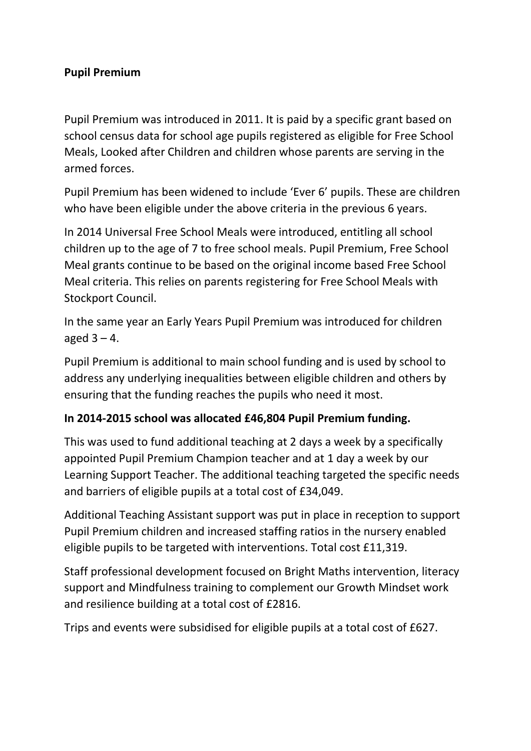### **Pupil Premium**

Pupil Premium was introduced in 2011. It is paid by a specific grant based on school census data for school age pupils registered as eligible for Free School Meals, Looked after Children and children whose parents are serving in the armed forces.

Pupil Premium has been widened to include 'Ever 6' pupils. These are children who have been eligible under the above criteria in the previous 6 years.

In 2014 Universal Free School Meals were introduced, entitling all school children up to the age of 7 to free school meals. Pupil Premium, Free School Meal grants continue to be based on the original income based Free School Meal criteria. This relies on parents registering for Free School Meals with Stockport Council.

In the same year an Early Years Pupil Premium was introduced for children aged  $3 - 4$ .

Pupil Premium is additional to main school funding and is used by school to address any underlying inequalities between eligible children and others by ensuring that the funding reaches the pupils who need it most.

#### **In 2014-2015 school was allocated £46,804 Pupil Premium funding.**

This was used to fund additional teaching at 2 days a week by a specifically appointed Pupil Premium Champion teacher and at 1 day a week by our Learning Support Teacher. The additional teaching targeted the specific needs and barriers of eligible pupils at a total cost of £34,049.

Additional Teaching Assistant support was put in place in reception to support Pupil Premium children and increased staffing ratios in the nursery enabled eligible pupils to be targeted with interventions. Total cost £11,319.

Staff professional development focused on Bright Maths intervention, literacy support and Mindfulness training to complement our Growth Mindset work and resilience building at a total cost of £2816.

Trips and events were subsidised for eligible pupils at a total cost of £627.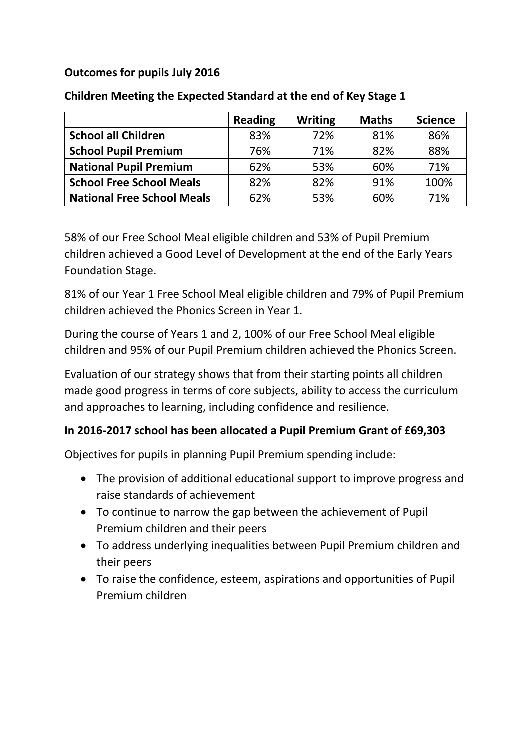# **Outcomes for pupils July 2016**

|                                   | <b>Reading</b> | <b>Writing</b> | <b>Maths</b> | <b>Science</b> |
|-----------------------------------|----------------|----------------|--------------|----------------|
| <b>School all Children</b>        | 83%            | 72%            | 81%          | 86%            |
| <b>School Pupil Premium</b>       | 76%            | 71%            | 82%          | 88%            |
| <b>National Pupil Premium</b>     | 62%            | 53%            | 60%          | 71%            |
| <b>School Free School Meals</b>   | 82%            | 82%            | 91%          | 100%           |
| <b>National Free School Meals</b> | 62%            | 53%            | 60%          | 71%            |

# **Children Meeting the Expected Standard at the end of Key Stage 1**

58% of our Free School Meal eligible children and 53% of Pupil Premium children achieved a Good Level of Development at the end of the Early Years Foundation Stage.

81% of our Year 1 Free School Meal eligible children and 79% of Pupil Premium children achieved the Phonics Screen in Year 1.

During the course of Years 1 and 2, 100% of our Free School Meal eligible children and 95% of our Pupil Premium children achieved the Phonics Screen.

Evaluation of our strategy shows that from their starting points all children made good progress in terms of core subjects, ability to access the curriculum and approaches to learning, including confidence and resilience.

# **In 2016-2017 school has been allocated a Pupil Premium Grant of £69,303**

Objectives for pupils in planning Pupil Premium spending include:

- The provision of additional educational support to improve progress and raise standards of achievement
- To continue to narrow the gap between the achievement of Pupil Premium children and their peers
- To address underlying inequalities between Pupil Premium children and their peers
- To raise the confidence, esteem, aspirations and opportunities of Pupil Premium children